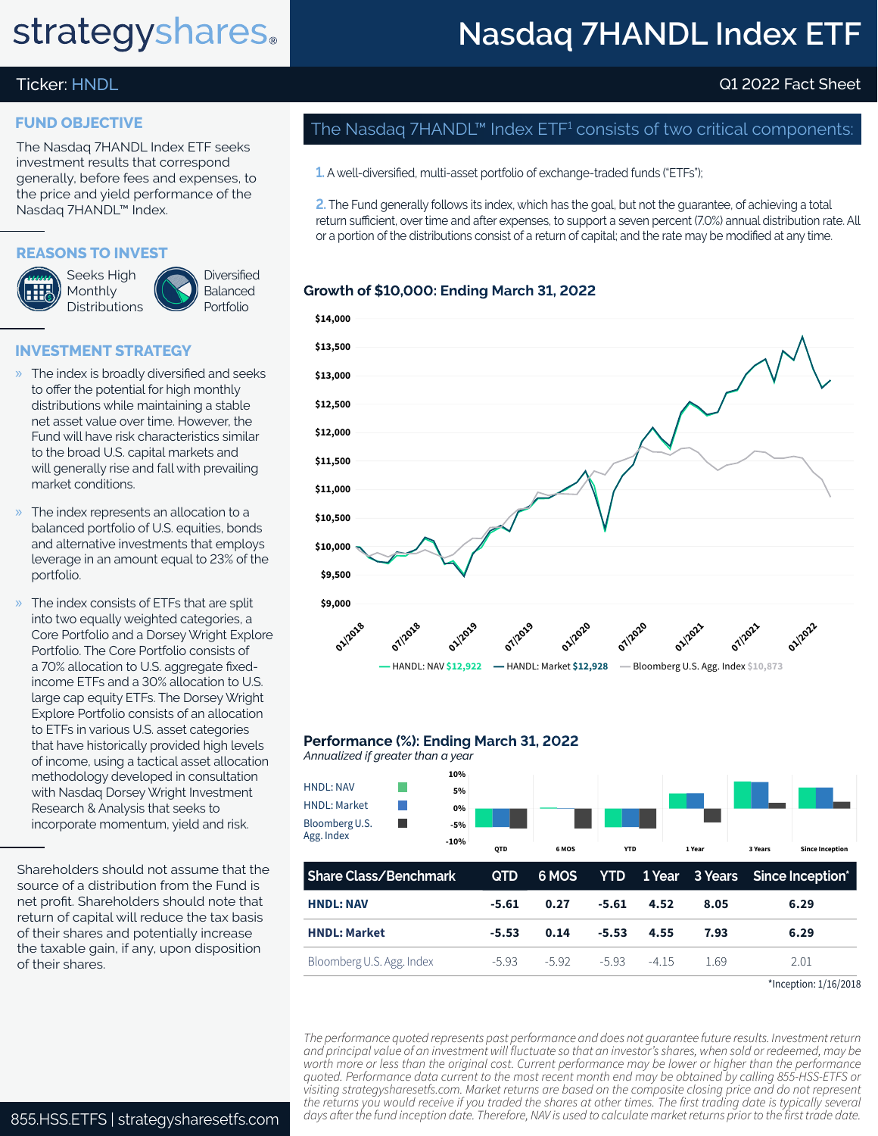# **strategyshares**.

## **Nasdaq 7HANDL Index ETF**

## Ticker: HNDL Q1 2022 Fact Sheet

### **FUND OBJECTIVE**

The Nasdaq 7HANDL Index ETF seeks investment results that correspond generally, before fees and expenses, to the price and yield performance of the Nasdaq 7HANDL™ Index.

### **REASONS TO INVEST**



**Diversified** Balanced Portfolio

### **INVESTMENT STRATEGY**

- » The index is broadly diversified and seeks to offer the potential for high monthly distributions while maintaining a stable net asset value over time. However, the Fund will have risk characteristics similar to the broad U.S. capital markets and will generally rise and fall with prevailing market conditions.
- The index represents an allocation to a balanced portfolio of U.S. equities, bonds and alternative investments that employs leverage in an amount equal to 23% of the portfolio.
- The index consists of ETFs that are split into two equally weighted categories, a Core Portfolio and a Dorsey Wright Explore Portfolio. The Core Portfolio consists of a 70% allocation to U.S. aggregate fixedincome ETFs and a 30% allocation to U.S. large cap equity ETFs. The Dorsey Wright Explore Portfolio consists of an allocation to ETFs in various U.S. asset categories that have historically provided high levels of income, using a tactical asset allocation methodology developed in consultation with Nasdaq Dorsey Wright Investment Research & Analysis that seeks to incorporate momentum, yield and risk.

Shareholders should not assume that the source of a distribution from the Fund is net profit. Shareholders should note that return of capital will reduce the tax basis of their shares and potentially increase the taxable gain, if any, upon disposition of their shares.

## The Nasdaq 7HANDL™ Index  $\mathsf{ETF^1}$  consists of two critical components:

**1.** A well-diversified, multi-asset portfolio of exchange-traded funds ("ETFs");

**2.** The Fund generally follows its index, which has the goal, but not the guarantee, of achieving a total return sufficient, over time and after expenses, to support a seven percent (7.0%) annual distribution rate. All or a portion of the distributions consist of a return of capital; and the rate may be modified at any time.

### **Growth of \$10,000: Ending March 31, 2022**



#### **Performance (%): Ending March 31, 2022**

| Annualized if greater than a year                                       |                                    |            |         |            |         |         |         |                        |
|-------------------------------------------------------------------------|------------------------------------|------------|---------|------------|---------|---------|---------|------------------------|
| <b>HNDL: NAV</b><br><b>HNDL: Market</b><br>Bloomberg U.S.<br>Agg. Index | 10%<br>5%<br>0%<br>$-5%$<br>$-10%$ | QTD        | 6 MOS   | <b>YTD</b> |         | 1 Year  | 3 Years | <b>Since Inception</b> |
| <b>Share Class/Benchmark</b>                                            |                                    | <b>QTD</b> | 6 MOS   | <b>YTD</b> | 1 Year  | 3 Years |         | Since Inception*       |
| <b>HNDL: NAV</b>                                                        | $-5.61$                            | 0.27       | $-5.61$ | 4.52       | 8.05    | 6.29    |         |                        |
| <b>HNDL: Market</b>                                                     |                                    | $-5.53$    | 0.14    | $-5.53$    | 4.55    | 7.93    |         | 6.29                   |
| Bloomberg U.S. Agg. Index                                               |                                    | $-5.93$    | $-5.92$ | $-5.93$    | $-4.15$ | 1.69    |         | 2.01                   |

<sup>\*</sup>Inception: 1/16/2018

*The performance quoted represents past performance and does not guarantee future results. Investment return and principal value of an investment will fluctuate so that an investor's shares, when sold or redeemed, may be worth more or less than the original cost. Current performance may be lower or higher than the performance quoted. Performance data current to the most recent month end may be obtained by calling 855-HSS-ETFS or visiting strategysharesetfs.com. Market returns are based on the composite closing price and do not represent the returns you would receive if you traded the shares at other times. The first trading date is typically several*  855.HSS.ETFS | strategysharesetfs.com days after the fund inception date. Therefore, NAV is used to calculate market returns prior to the first trade date.